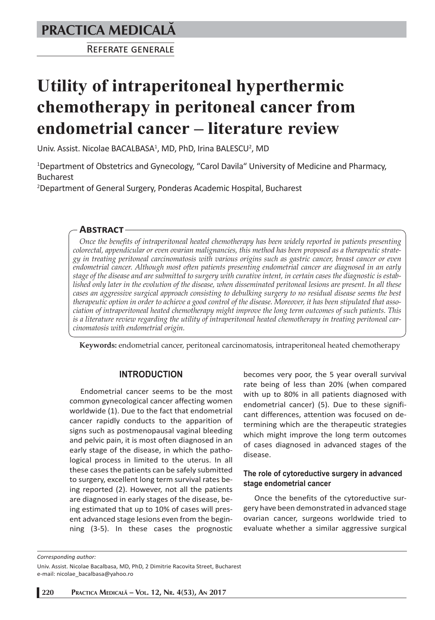## **PRACTICA MEDICALÅ**

REFERATE GENERALE

# **Utility of intraperitoneal hyperthermic chemotherapy in peritoneal cancer from endometrial cancer – literature review**

Univ. Assist. Nicolae BACALBASA<sup>1</sup>, MD, PhD, Irina BALESCU<sup>2</sup>, MD

<sup>1</sup>Department of Obstetrics and Gynecology, "Carol Davila" University of Medicine and Pharmacy, Bucharest

2 Department of General Surgery, Ponderas Academic Hospital, Bucharest

#### **ABSTRACT**

*Once the benefits of intraperitoneal heated chemotherapy has been widely reported in patients presenting colorectal, appendicular or even ovarian malignancies, this method has been proposed as a therapeutic strategy in treating peritoneal carcinomatosis with various origins such as gastric cancer, breast cancer or even endometrial cancer. Although most often patients presenting endometrial cancer are diagnosed in an early stage of the disease and are submitted to surgery with curative intent, in certain cases the diagnostic is established only later in the evolution of the disease, when disseminated peritoneal lesions are present. In all these cases an aggressive surgical approach consisting to debulking surgery to no residual disease seems the best therapeutic option in order to achieve a good control of the disease. Moreover, it has been stipulated that association of intraperitoneal heated chemotherapy might improve the long term outcomes of such patients. This is a literature review regarding the utility of intraperitoneal heated chemotherapy in treating peritoneal carcinomatosis with endometrial origin.*

**Keywords:** endometrial cancer, peritoneal carcinomatosis, intraperitoneal heated chemotherapy

#### **INTRODUCTION**

Endometrial cancer seems to be the most common gynecological cancer affecting women worldwide (1). Due to the fact that endometrial cancer rapidly conducts to the apparition of signs such as postmenopausal vaginal bleeding and pelvic pain, it is most often diagnosed in an early stage of the disease, in which the pathological process in limited to the uterus. In all these cases the patients can be safely submitted to surgery, excellent long term survival rates being reported (2). However, not all the patients are diagnosed in early stages of the disease, being estimated that up to 10% of cases will present advanced stage lesions even from the beginning (3-5). In these cases the prognostic

becomes very poor, the 5 year overall survival rate being of less than 20% (when compared with up to 80% in all patients diagnosed with endometrial cancer) (5). Due to these significant differences, attention was focused on determining which are the therapeutic strategies which might improve the long term outcomes of cases diagnosed in advanced stages of the disease.

#### **The role of cytoreductive surgery in advanced stage endometrial cancer**

Once the benefits of the cytoreductive surgery have been demonstrated in advanced stage ovarian cancer, surgeons worldwide tried to evaluate whether a similar aggressive surgical

*Corresponding author:* 

Univ. Assist. Nicolae Bacalbasa, MD, PhD, 2 Dimitrie Racovita Street, Bucharest e-mail: nicolae\_bacalbasa@yahoo.ro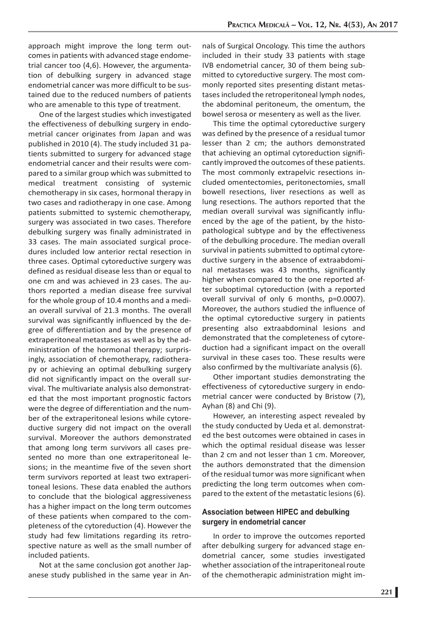approach might improve the long term outcomes in patients with advanced stage endometrial cancer too (4,6). However, the argumentation of debulking surgery in advanced stage endometrial cancer was more difficult to be sustained due to the reduced numbers of patients who are amenable to this type of treatment.

One of the largest studies which investigated the effectiveness of debulking surgery in endometrial cancer originates from Japan and was published in 2010 (4). The study included 31 patients submitted to surgery for advanced stage endometrial cancer and their results were compared to a similar group which was submitted to medical treatment consisting of systemic chemotherapy in six cases, hormonal therapy in two cases and radiotherapy in one case. Among patients submitted to systemic chemotherapy, surgery was associated in two cases. Therefore debulking surgery was finally administrated in 33 cases. The main associated surgical procedures included low anterior rectal resection in three cases. Optimal cytoreductive surgery was defined as residual disease less than or equal to one cm and was achieved in 23 cases. The authors reported a median disease free survival for the whole group of 10.4 months and a median overall survival of 21.3 months. The overall survival was significantly influenced by the degree of differentiation and by the presence of extraperitoneal metastases as well as by the administration of the hormonal therapy; surprisingly, association of chemotherapy, radiotherapy or achieving an optimal debulking surgery did not significantly impact on the overall survival. The multivariate analysis also demonstrated that the most important prognostic factors were the degree of differentiation and the number of the extraperitoneal lesions while cytoreductive surgery did not impact on the overall survival. Moreover the authors demonstrated that among long term survivors all cases presented no more than one extraperitoneal lesions; in the meantime five of the seven short term survivors reported at least two extraperitoneal lesions. These data enabled the authors to conclude that the biological aggressiveness has a higher impact on the long term outcomes of these patients when compared to the completeness of the cytoreduction (4). However the study had few limitations regarding its retrospective nature as well as the small number of included patients.

Not at the same conclusion got another Japanese study published in the same year in An-

nals of Surgical Oncology. This time the authors included in their study 33 patients with stage IVB endometrial cancer, 30 of them being submitted to cytoreductive surgery. The most commonly reported sites presenting distant metastases included the retroperitoneal lymph nodes, the abdominal peritoneum, the omentum, the bowel serosa or mesentery as well as the liver.

This time the optimal cytoreductive surgery was defined by the presence of a residual tumor lesser than 2 cm; the authors demonstrated that achieving an optimal cytoreduction significantly improved the outcomes of these patients. The most commonly extrapelvic resections included omentectomies, peritonectomies, small bowell resections, liver resections as well as lung resections. The authors reported that the median overall survival was significantly influenced by the age of the patient, by the histopathological subtype and by the effectiveness of the debulking procedure. The median overall survival in patients submitted to optimal cytoreductive surgery in the absence of extraabdominal metastases was 43 months, significantly higher when compared to the one reported after suboptimal cytoreduction (with a reported overall survival of only 6 months, p=0.0007). Moreover, the authors studied the influence of the optimal cytoreductive surgery in patients presenting also extraabdominal lesions and demonstrated that the completeness of cytoreduction had a significant impact on the overall survival in these cases too. These results were also confirmed by the multivariate analysis (6).

Other important studies demonstrating the effectiveness of cytoreductive surgery in endometrial cancer were conducted by Bristow (7), Ayhan (8) and Chi (9).

However, an interesting aspect revealed by the study conducted by Ueda et al. demonstrated the best outcomes were obtained in cases in which the optimal residual disease was lesser than 2 cm and not lesser than 1 cm. Moreover, the authors demonstrated that the dimension of the residual tumor was more significant when predicting the long term outcomes when compared to the extent of the metastatic lesions (6).

#### **Association between HIPEC and debulking surgery in endometrial cancer**

In order to improve the outcomes reported after debulking surgery for advanced stage endometrial cancer, some studies investigated whether association of the intraperitoneal route of the chemotherapic administration might im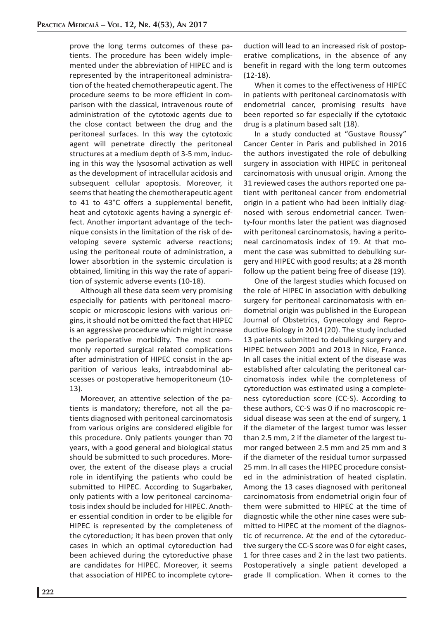prove the long terms outcomes of these patients. The procedure has been widely implemented under the abbreviation of HIPEC and is represented by the intraperitoneal administration of the heated chemotherapeutic agent. The procedure seems to be more efficient in comparison with the classical, intravenous route of administration of the cytotoxic agents due to the close contact between the drug and the peritoneal surfaces. In this way the cytotoxic agent will penetrate directly the peritoneal structures at a medium depth of 3-5 mm, inducing in this way the lysosomal activation as well as the development of intracellular acidosis and subsequent cellular apoptosis. Moreover, it seems that heating the chemotherapeutic agent to 41 to 43°C offers a supplemental benefit, heat and cytotoxic agents having a synergic effect. Another important advantage of the technique consists in the limitation of the risk of developing severe systemic adverse reactions; using the peritoneal route of administration, a lower absorbtion in the systemic circulation is obtained, limiting in this way the rate of apparition of systemic adverse events (10-18).

Although all these data seem very promising especially for patients with peritoneal macroscopic or microscopic lesions with various origins, it should not be omitted the fact that HIPEC is an aggressive procedure which might increase the perioperative morbidity. The most commonly reported surgical related complications after administration of HIPEC consist in the apparition of various leaks, intraabdominal abscesses or postoperative hemoperitoneum (10- 13).

Moreover, an attentive selection of the patients is mandatory; therefore, not all the patients diagnosed with peritoneal carcinomatosis from various origins are considered eligible for this procedure. Only patients younger than 70 years, with a good general and biological status should be submitted to such procedures. Moreover, the extent of the disease plays a crucial role in identifying the patients who could be submitted to HIPEC. According to Sugarbaker, only patients with a low peritoneal carcinomatosis index should be included for HIPEC. Another essential condition in order to be eligible for HIPEC is represented by the completeness of the cytoreduction; it has been proven that only cases in which an optimal cytoreduction had been achieved during the cytoreductive phase are candidates for HIPEC. Moreover, it seems that association of HIPEC to incomplete cytoreduction will lead to an increased risk of postoperative complications, in the absence of any benefit in regard with the long term outcomes (12-18).

When it comes to the effectiveness of HIPEC in patients with peritoneal carcinomatosis with endometrial cancer, promising results have been reported so far especially if the cytotoxic drug is a platinum based salt (18).

In a study conducted at "Gustave Roussy" Cancer Center in Paris and published in 2016 the authors investigated the role of debulking surgery in association with HIPEC in peritoneal carcinomatosis with unusual origin. Among the 31 reviewed cases the authors reported one patient with peritoneal cancer from endometrial origin in a patient who had been initially diagnosed with serous endometrial cancer. Twenty-four months later the patient was diagnosed with peritoneal carcinomatosis, having a peritoneal carcinomatosis index of 19. At that moment the case was submitted to debulking surgery and HIPEC with good results; at a 28 month follow up the patient being free of disease (19).

One of the largest studies which focused on the role of HIPEC in association with debulking surgery for peritoneal carcinomatosis with endometrial origin was published in the European Journal of Obstetrics, Gynecology and Reproductive Biology in 2014 (20). The study included 13 patients submitted to debulking surgery and HIPEC between 2001 and 2013 in Nice, France. In all cases the initial extent of the disease was established after calculating the peritoneal carcinomatosis index while the completeness of cytoreduction was estimated using a completeness cytoreduction score (CC-S). According to these authors, CC-S was 0 if no macroscopic residual disease was seen at the end of surgery, 1 if the diameter of the largest tumor was lesser than 2.5 mm, 2 if the diameter of the largest tumor ranged between 2.5 mm and 25 mm and 3 if the diameter of the residual tumor surpassed 25 mm. In all cases the HIPEC procedure consisted in the administration of heated cisplatin. Among the 13 cases diagnosed with peritoneal carcinomatosis from endometrial origin four of them were submitted to HIPEC at the time of diagnostic while the other nine cases were submitted to HIPEC at the moment of the diagnostic of recurrence. At the end of the cytoreductive surgery the CC-S score was 0 for eight cases, 1 for three cases and 2 in the last two patients. Postoperatively a single patient developed a grade II complication. When it comes to the